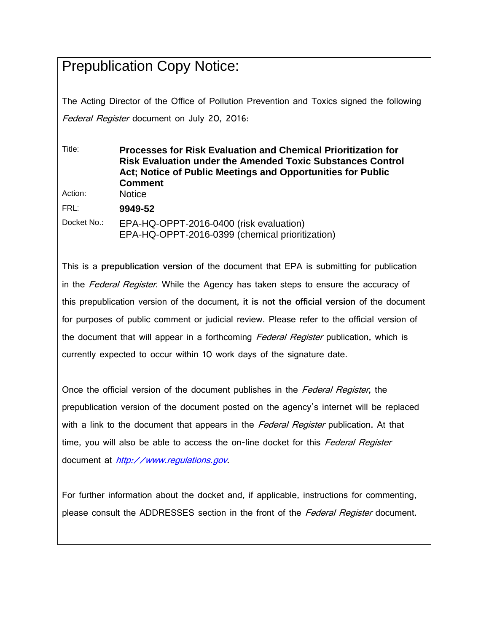## Prepublication Copy Notice:

The Acting Director of the Office of Pollution Prevention and Toxics signed the following Federal Register document on July 20, 2016:

Title: **Processes for Risk Evaluation and Chemical Prioritization for Risk Evaluation under the Amended Toxic Substances Control Act; Notice of Public Meetings and Opportunities for Public Comment** Action: Notice FRL: **9949-52** Docket No.: EPA-HQ-OPPT-2016-0400 (risk evaluation) EPA-HQ-OPPT-2016-0399 (chemical prioritization)

This is a **prepublication version** of the document that EPA is submitting for publication in the *Federal Register*. While the Agency has taken steps to ensure the accuracy of this prepublication version of the document, **it is not the official version** of the document for purposes of public comment or judicial review. Please refer to the official version of the document that will appear in a forthcoming Federal Register publication, which is currently expected to occur within 10 work days of the signature date.

Once the official version of the document publishes in the *Federal Register*, the prepublication version of the document posted on the agency's internet will be replaced with a link to the document that appears in the *Federal Register* publication. At that time, you will also be able to access the on-line docket for this Federal Register document at [http://www.regulations.gov](http://www.regulations.gov/).

For further information about the docket and, if applicable, instructions for commenting, please consult the ADDRESSES section in the front of the Federal Register document.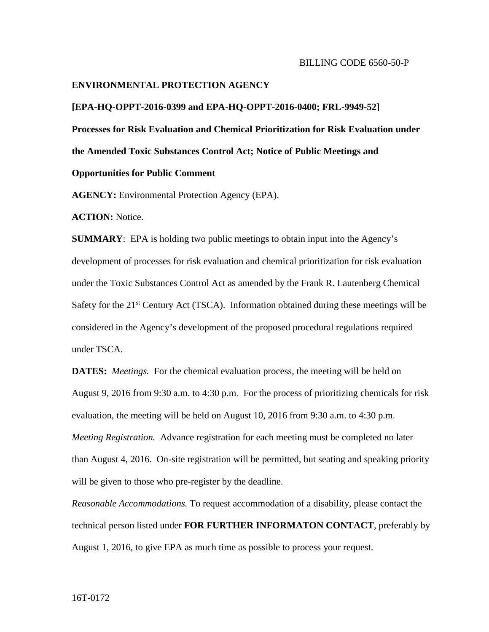#### **ENVIRONMENTAL PROTECTION AGENCY**

#### **[EPA-HQ-OPPT-2016-0399 and EPA-HQ-OPPT-2016-0400; FRL-9949-52]**

**Processes for Risk Evaluation and Chemical Prioritization for Risk Evaluation under the Amended Toxic Substances Control Act; Notice of Public Meetings and** 

### **Opportunities for Public Comment**

**AGENCY:** Environmental Protection Agency (EPA).

**ACTION:** Notice.

**SUMMARY**: EPA is holding two public meetings to obtain input into the Agency's development of processes for risk evaluation and chemical prioritization for risk evaluation under the Toxic Substances Control Act as amended by the Frank R. Lautenberg Chemical Safety for the  $21<sup>st</sup>$  Century Act (TSCA). Information obtained during these meetings will be considered in the Agency's development of the proposed procedural regulations required under TSCA.

**DATES:** *Meetings.* For the chemical evaluation process, the meeting will be held on August 9, 2016 from 9:30 a.m. to 4:30 p.m. For the process of prioritizing chemicals for risk evaluation, the meeting will be held on August 10, 2016 from 9:30 a.m. to 4:30 p.m. *Meeting Registration.* Advance registration for each meeting must be completed no later than August 4, 2016. On-site registration will be permitted, but seating and speaking priority will be given to those who pre-register by the deadline.

*Reasonable Accommodations.* To request accommodation of a disability, please contact the technical person listed under **FOR FURTHER INFORMATON CONTACT**, preferably by August 1, 2016, to give EPA as much time as possible to process your request.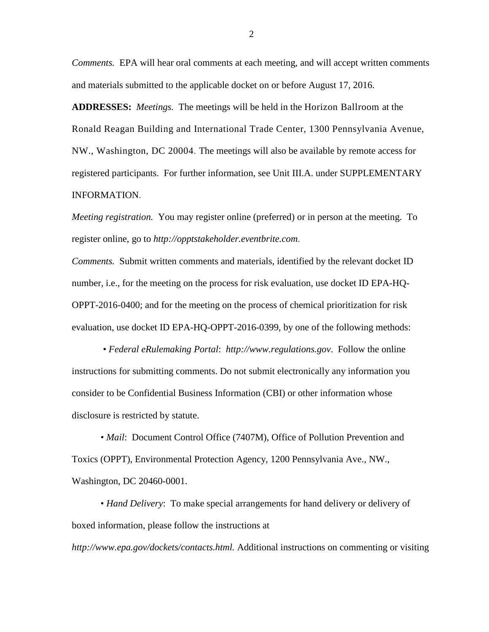*Comments.* EPA will hear oral comments at each meeting, and will accept written comments and materials submitted to the applicable docket on or before August 17, 2016.

**ADDRESSES:** *Meetings.*The meetings will be held in the Horizon Ballroom at the Ronald Reagan Building and International Trade Center, 1300 Pennsylvania Avenue, NW., Washington, DC 20004. The meetings will also be available by remote access for registered participants. For further information, see Unit III.A. under SUPPLEMENTARY INFORMATION.

*Meeting registration.* You may register online (preferred) or in person at the meeting. To register online, go to *[http://opptstakeholder.eventbrite.com](http://opptstakeholder.eventbrite.com/)*.

*Comments.* Submit written comments and materials, identified by the relevant docket ID number, i.e., for the meeting on the process for risk evaluation, use docket ID EPA-HQ-OPPT-2016-0400; and for the meeting on the process of chemical prioritization for risk evaluation, use docket ID EPA-HQ-OPPT-2016-0399, by one of the following methods:

• *Federal eRulemaking Portal*: *http://www.regulations.gov*. Follow the online instructions for submitting comments. Do not submit electronically any information you consider to be Confidential Business Information (CBI) or other information whose disclosure is restricted by statute.

• *Mail*: Document Control Office (7407M), Office of Pollution Prevention and Toxics (OPPT), Environmental Protection Agency, 1200 Pennsylvania Ave., NW., Washington, DC 20460-0001.

• *Hand Delivery*: To make special arrangements for hand delivery or delivery of boxed information, please follow the instructions at

*[http://www.epa.gov/dockets/contacts.html.](http://www.epa.gov/dockets/contacts.html)* Additional instructions on commenting or visiting

2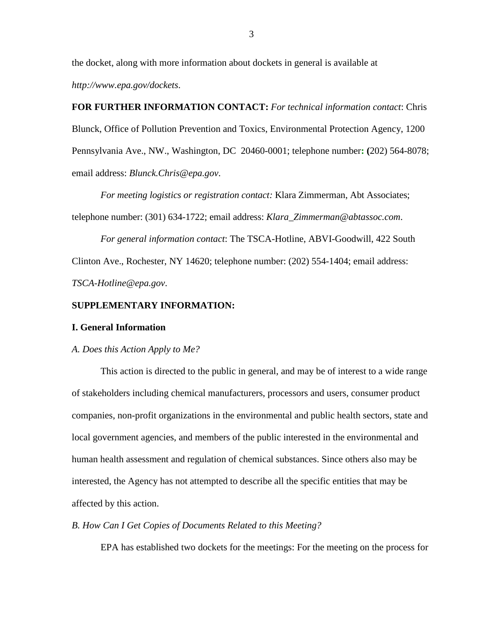the docket, along with more information about dockets in general is available at *http://www.epa.gov/dockets*.

# **FOR FURTHER INFORMATION CONTACT:** *For technical information contact*: Chris Blunck, Office of Pollution Prevention and Toxics, Environmental Protection Agency, 1200 Pennsylvania Ave., NW., Washington, DC 20460-0001; telephone number**: (**202) 564-8078; email address: *Blunck.Chris@epa.gov*.

*For meeting logistics or registration contact:* Klara Zimmerman, Abt Associates; telephone number: (301) 634-1722; email address: *Klara\_Zimmerman@abtassoc.com*.

*For general information contact*: The TSCA-Hotline, ABVI-Goodwill, 422 South Clinton Ave., Rochester, NY 14620; telephone number: (202) 554-1404; email address: *TSCA-Hotline@epa.gov*.

#### **SUPPLEMENTARY INFORMATION:**

#### **I. General Information**

#### *A. Does this Action Apply to Me?*

This action is directed to the public in general, and may be of interest to a wide range of stakeholders including chemical manufacturers, processors and users, consumer product companies, non-profit organizations in the environmental and public health sectors, state and local government agencies, and members of the public interested in the environmental and human health assessment and regulation of chemical substances. Since others also may be interested, the Agency has not attempted to describe all the specific entities that may be affected by this action.

#### *B. How Can I Get Copies of Documents Related to this Meeting?*

EPA has established two dockets for the meetings: For the meeting on the process for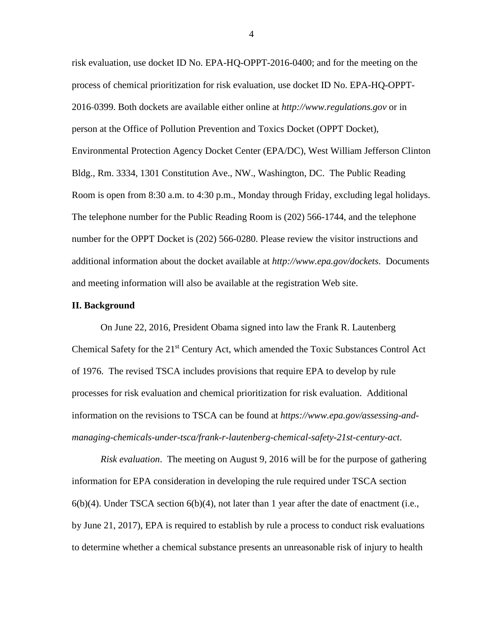risk evaluation, use docket ID No. EPA-HQ-OPPT-2016-0400; and for the meeting on the process of chemical prioritization for risk evaluation, use docket ID No. EPA-HQ-OPPT-2016-0399. Both dockets are available either online at *http://www.regulations.gov* or in person at the Office of Pollution Prevention and Toxics Docket (OPPT Docket), Environmental Protection Agency Docket Center (EPA/DC), West William Jefferson Clinton Bldg., Rm. 3334, 1301 Constitution Ave., NW., Washington, DC. The Public Reading Room is open from 8:30 a.m. to 4:30 p.m., Monday through Friday, excluding legal holidays. The telephone number for the Public Reading Room is (202) 566-1744, and the telephone number for the OPPT Docket is (202) 566-0280. Please review the visitor instructions and additional information about the docket available at *<http://www.epa.gov/dockets>*. Documents and meeting information will also be available at the registration Web site.

#### **II. Background**

On June 22, 2016, President Obama signed into law the Frank R. Lautenberg Chemical Safety for the  $21<sup>st</sup>$  Century Act, which amended the Toxic Substances Control Act of 1976. The revised TSCA includes provisions that require EPA to develop by rule processes for risk evaluation and chemical prioritization for risk evaluation. Additional information on the revisions to TSCA can be found at *[https://www.epa.gov/assessing-and](https://www.epa.gov/assessing-and-managing-chemicals-under-tsca/frank-r-lautenberg-chemical-safety-21st-century-act)[managing-chemicals-under-tsca/frank-r-lautenberg-chemical-safety-21st-century-act](https://www.epa.gov/assessing-and-managing-chemicals-under-tsca/frank-r-lautenberg-chemical-safety-21st-century-act)*.

*Risk evaluation*. The meeting on August 9, 2016 will be for the purpose of gathering information for EPA consideration in developing the rule required under TSCA section  $6(b)(4)$ . Under TSCA section  $6(b)(4)$ , not later than 1 year after the date of enactment (i.e., by June 21, 2017), EPA is required to establish by rule a process to conduct risk evaluations to determine whether a chemical substance presents an unreasonable risk of injury to health

4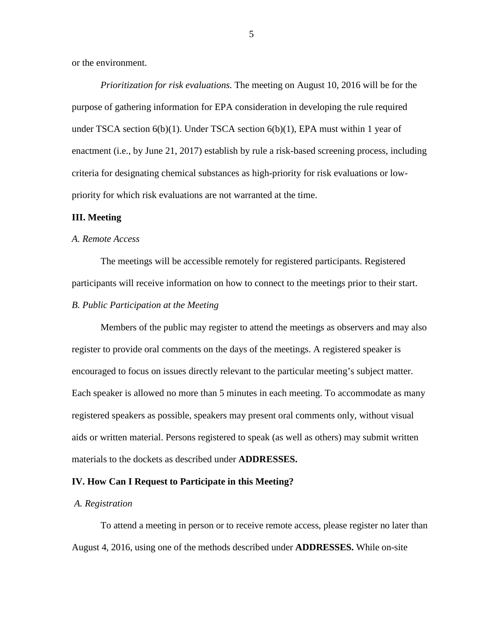or the environment.

*Prioritization for risk evaluations.* The meeting on August 10, 2016 will be for the purpose of gathering information for EPA consideration in developing the rule required under TSCA section 6(b)(1). Under TSCA section 6(b)(1), EPA must within 1 year of enactment (i.e., by June 21, 2017) establish by rule a risk-based screening process, including criteria for designating chemical substances as high-priority for risk evaluations or lowpriority for which risk evaluations are not warranted at the time.

#### **III. Meeting**

#### *A. Remote Access*

The meetings will be accessible remotely for registered participants. Registered participants will receive information on how to connect to the meetings prior to their start.

#### *B. Public Participation at the Meeting*

Members of the public may register to attend the meetings as observers and may also register to provide oral comments on the days of the meetings. A registered speaker is encouraged to focus on issues directly relevant to the particular meeting's subject matter. Each speaker is allowed no more than 5 minutes in each meeting. To accommodate as many registered speakers as possible, speakers may present oral comments only, without visual aids or written material. Persons registered to speak (as well as others) may submit written materials to the dockets as described under **ADDRESSES.**

#### **IV. How Can I Request to Participate in this Meeting?**

#### *A. Registration*

To attend a meeting in person or to receive remote access, please register no later than August 4, 2016, using one of the methods described under **ADDRESSES.** While on-site